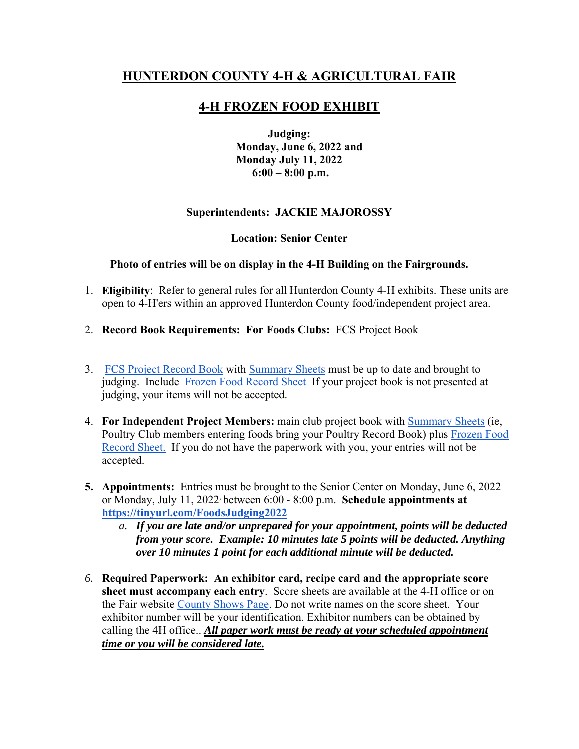# **HUNTERDON COUNTY 4-H & AGRICULTURAL FAIR**

## **4-H FROZEN FOOD EXHIBIT**

**Judging: Monday, June 6, 2022 and Monday July 11, 2022 6:00 – 8:00 p.m.**

#### **Superintendents: JACKIE MAJOROSSY**

#### **Location: Senior Center**

#### **Photo of entries will be on display in the 4-H Building on the Fairgrounds.**

- 1. **Eligibility**: Refer to general rules for all Hunterdon County 4-H exhibits. These units are open to 4-H'ers within an approved Hunterdon County food/independent project area.
- 2. **Record Book Requirements: For Foods Clubs:** FCS Project Book
- 3. FCS Project Record Book with Summary Sheets must be up to date and brought to judging. Include Frozen Food Record Sheet If your project book is not presented at judging, your items will not be accepted.
- 4. **For Independent Project Members:** main club project book with Summary Sheets (ie, Poultry Club members entering foods bring your Poultry Record Book) plus Frozen Food Record Sheet. If you do not have the paperwork with you, your entries will not be accepted.
- **5. Appointments:** Entries must be brought to the Senior Center on Monday, June 6, 2022 or Monday, July 11, 2022, between 6:00 - 8:00 p.m. **Schedule appointments at https://tinyurl.com/FoodsJudging2022**
	- *a. If you are late and/or unprepared for your appointment, points will be deducted from your score. Example: 10 minutes late 5 points will be deducted. Anything over 10 minutes 1 point for each additional minute will be deducted.*
- *6.* **Required Paperwork: An exhibitor card, recipe card and the appropriate score sheet must accompany each entry**. Score sheets are available at the 4-H office or on the Fair website County Shows Page. Do not write names on the score sheet. Your exhibitor number will be your identification. Exhibitor numbers can be obtained by calling the 4H office.. *All paper work must be ready at your scheduled appointment time or you will be considered late.*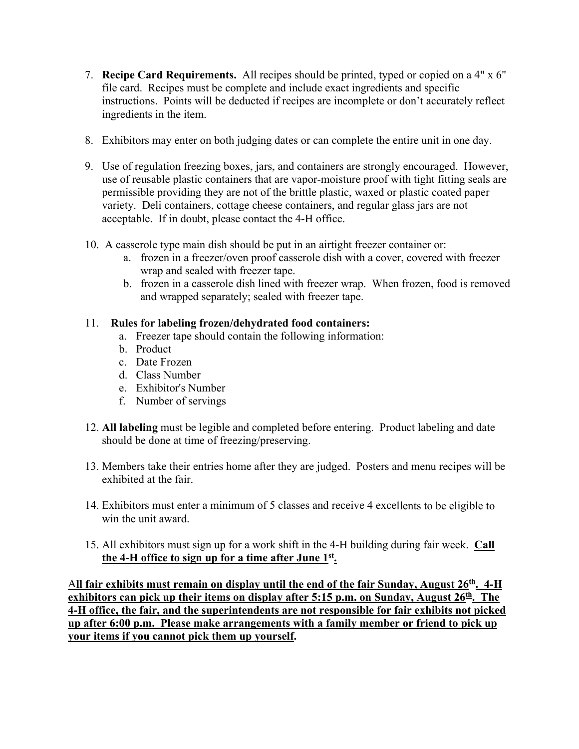- 7. **Recipe Card Requirements.** All recipes should be printed, typed or copied on a 4" x 6" file card. Recipes must be complete and include exact ingredients and specific instructions. Points will be deducted if recipes are incomplete or don't accurately reflect ingredients in the item.
- 8. Exhibitors may enter on both judging dates or can complete the entire unit in one day.
- 9. Use of regulation freezing boxes, jars, and containers are strongly encouraged. However, use of reusable plastic containers that are vapor-moisture proof with tight fitting seals are permissible providing they are not of the brittle plastic, waxed or plastic coated paper variety. Deli containers, cottage cheese containers, and regular glass jars are not acceptable. If in doubt, please contact the 4-H office.
- 10. A casserole type main dish should be put in an airtight freezer container or:
	- a. frozen in a freezer/oven proof casserole dish with a cover, covered with freezer wrap and sealed with freezer tape.
	- b. frozen in a casserole dish lined with freezer wrap. When frozen, food is removed and wrapped separately; sealed with freezer tape.

### 11. **Rules for labeling frozen/dehydrated food containers:**

- a. Freezer tape should contain the following information:
- b. Product
- c. Date Frozen
- d. Class Number
- e. Exhibitor's Number
- f. Number of servings
- 12. **All labeling** must be legible and completed before entering. Product labeling and date should be done at time of freezing/preserving.
- 13. Members take their entries home after they are judged. Posters and menu recipes will be exhibited at the fair.
- 14. Exhibitors must enter a minimum of 5 classes and receive 4 excellents to be eligible to win the unit award.
- 15. All exhibitors must sign up for a work shift in the 4-H building during fair week. **Call**  the 4-H office to sign up for a time after June 1<sup>st</sup>.

All fair exhibits must remain on display until the end of the fair Sunday, August 26<sup>th</sup>. 4-H exhibitors can pick up their items on display after 5:15 p.m. on Sunday, August 26<sup>th</sup>. The **4-H office, the fair, and the superintendents are not responsible for fair exhibits not picked up after 6:00 p.m. Please make arrangements with a family member or friend to pick up your items if you cannot pick them up yourself.**